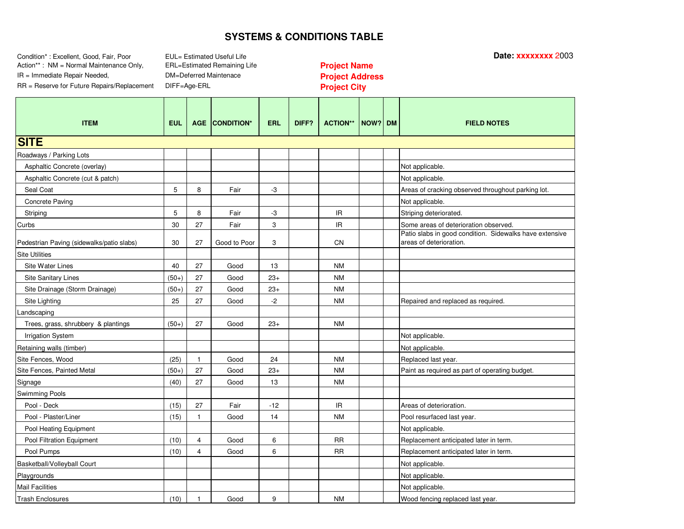Condition\* : Excellent, Good, Fair, Poor **Date: xxxxxxxx** 2003 Action\*\* : NMM = Normal Maintenance Only, **Profith Life Life Containing Life Project Name** IR <sup>=</sup> Immediate Repair Needed, **Project Address**

EUL= Estimated Useful Life DM=Deferred Maintenace DIFF=Age-ERL

| <b>ITEM</b>                               | <b>EUL</b> | <b>AGE</b>     | <b>CONDITION*</b> | <b>ERL</b> | DIFF? | <b>ACTION**</b>                   | NOW? DM | <b>FIELD NOTES</b>                                                                 |
|-------------------------------------------|------------|----------------|-------------------|------------|-------|-----------------------------------|---------|------------------------------------------------------------------------------------|
| <b>SITE</b>                               |            |                |                   |            |       |                                   |         |                                                                                    |
| Roadways / Parking Lots                   |            |                |                   |            |       |                                   |         |                                                                                    |
| Asphaltic Concrete (overlay)              |            |                |                   |            |       |                                   |         | Not applicable.                                                                    |
| Asphaltic Concrete (cut & patch)          |            |                |                   |            |       |                                   |         | Not applicable.                                                                    |
| Seal Coat                                 | 5          | 8              | Fair              | -3         |       |                                   |         | Areas of cracking observed throughout parking lot.                                 |
| Concrete Paving                           |            |                |                   |            |       |                                   |         | Not applicable.                                                                    |
| Striping                                  | 5          | 8              | Fair              | -3         |       | $\ensuremath{\mathsf{IR}}\xspace$ |         | Striping deteriorated                                                              |
| Curbs                                     | 30         | 27             | Fair              | 3          |       | IR.                               |         | Some areas of deterioration observed.                                              |
| Pedestrian Paving (sidewalks/patio slabs) | 30         | 27             | Good to Poor      | 3          |       | CN                                |         | Patio slabs in good condition. Sidewalks have extensive<br>areas of deterioration. |
| <b>Site Utilities</b>                     |            |                |                   |            |       |                                   |         |                                                                                    |
| Site Water Lines                          | 40         | 27             | Good              | 13         |       | <b>NM</b>                         |         |                                                                                    |
| <b>Site Sanitary Lines</b>                | $(50+)$    | 27             | Good              | $23+$      |       | <b>NM</b>                         |         |                                                                                    |
| Site Drainage (Storm Drainage)            | $(50+)$    | 27             | Good              | $23+$      |       | <b>NM</b>                         |         |                                                                                    |
| Site Lighting                             | 25         | 27             | Good              | $-2$       |       | <b>NM</b>                         |         | Repaired and replaced as required.                                                 |
| Landscaping                               |            |                |                   |            |       |                                   |         |                                                                                    |
| Trees, grass, shrubbery & plantings       | $(50+)$    | 27             | Good              | $23+$      |       | <b>NM</b>                         |         |                                                                                    |
| <b>Irrigation System</b>                  |            |                |                   |            |       |                                   |         | Not applicable.                                                                    |
| Retaining walls (timber)                  |            |                |                   |            |       |                                   |         | Not applicable.                                                                    |
| Site Fences, Wood                         | (25)       | $\mathbf{1}$   | Good              | 24         |       | <b>NM</b>                         |         | Replaced last year.                                                                |
| Site Fences, Painted Metal                | $(50+)$    | 27             | Good              | $23+$      |       | <b>NM</b>                         |         | Paint as required as part of operating budget.                                     |
| Signage                                   | (40)       | 27             | Good              | 13         |       | <b>NM</b>                         |         |                                                                                    |
| Swimming Pools                            |            |                |                   |            |       |                                   |         |                                                                                    |
| Pool - Deck                               | (15)       | 27             | Fair              | $-12$      |       | $\ensuremath{\mathsf{IR}}\xspace$ |         | Areas of deterioration.                                                            |
| Pool - Plaster/Liner                      | (15)       | 1              | Good              | 14         |       | <b>NM</b>                         |         | Pool resurfaced last year.                                                         |
| Pool Heating Equipment                    |            |                |                   |            |       |                                   |         | Not applicable.                                                                    |
| Pool Filtration Equipment                 | (10)       | $\overline{4}$ | Good              | 6          |       | <b>RR</b>                         |         | Replacement anticipated later in term.                                             |
| Pool Pumps                                | (10)       | 4              | Good              | 6          |       | <b>RR</b>                         |         | Replacement anticipated later in term.                                             |
| Basketball/Volleyball Court               |            |                |                   |            |       |                                   |         | Not applicable.                                                                    |
| Playgrounds                               |            |                |                   |            |       |                                   |         | Not applicable.                                                                    |
| <b>Mail Facilities</b>                    |            |                |                   |            |       |                                   |         | Not applicable.                                                                    |
| <b>Trash Enclosures</b>                   | (10)       | $\mathbf{1}$   | Good              | 9          |       | <b>NM</b>                         |         | Wood fencing replaced last year.                                                   |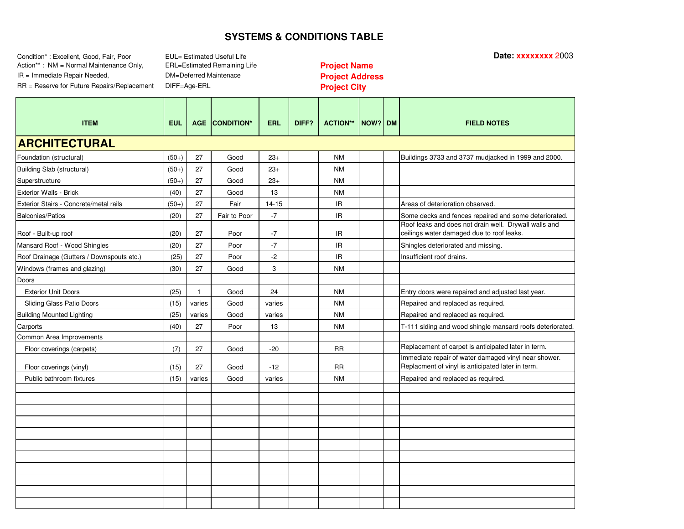Condition\* : Excellent, Good, Fair, Poor **Date: xxxxxxxx** 2003 Action\*\* : NMM = Normal Maintenance Only, **Profith Life Life Containing Life Project Name** IR <sup>=</sup> Immediate Repair Needed, **Project Address**

EUL= Estimated Useful Life DM=Deferred Maintenace DIFF=Age-ERL

| <b>ITEM</b>                               | <b>EUL</b> |              | <b>AGE CONDITION*</b> | <b>ERL</b> | DIFF? | <b>ACTION**</b> | NOW? DM | <b>FIELD NOTES</b>                                                                                        |
|-------------------------------------------|------------|--------------|-----------------------|------------|-------|-----------------|---------|-----------------------------------------------------------------------------------------------------------|
| <b>ARCHITECTURAL</b>                      |            |              |                       |            |       |                 |         |                                                                                                           |
| Foundation (structural)                   | $(50+)$    | 27           | Good                  | $23+$      |       | <b>NM</b>       |         | Buildings 3733 and 3737 mudjacked in 1999 and 2000.                                                       |
| Building Slab (structural)                | $(50+)$    | 27           | Good                  | $23+$      |       | <b>NM</b>       |         |                                                                                                           |
| Superstructure                            | $(50+)$    | 27           | Good                  | $23+$      |       | <b>NM</b>       |         |                                                                                                           |
| Exterior Walls - Brick                    | (40)       | 27           | Good                  | 13         |       | <b>NM</b>       |         |                                                                                                           |
| Exterior Stairs - Concrete/metal rails    | $(50+)$    | 27           | Fair                  | $14 - 15$  |       | IR.             |         | Areas of deterioration observed.                                                                          |
| <b>Balconies/Patios</b>                   | (20)       | 27           | Fair to Poor          | $-7$       |       | IR.             |         | Some decks and fences repaired and some deteriorated.                                                     |
| Roof - Built-up roof                      | (20)       | 27           | Poor                  | $-7$       |       | IR.             |         | Roof leaks and does not drain well. Drywall walls and<br>ceilings water damaged due to roof leaks.        |
| Mansard Roof - Wood Shingles              | (20)       | 27           | Poor                  | $-7$       |       | IR.             |         | Shingles deteriorated and missing.                                                                        |
| Roof Drainage (Gutters / Downspouts etc.) | (25)       | 27           | Poor                  | $-2$       |       | IR.             |         | Insufficient roof drains.                                                                                 |
| Windows (frames and glazing)              | (30)       | 27           | Good                  | 3          |       | <b>NM</b>       |         |                                                                                                           |
| Doors                                     |            |              |                       |            |       |                 |         |                                                                                                           |
| <b>Exterior Unit Doors</b>                | (25)       | $\mathbf{1}$ | Good                  | 24         |       | <b>NM</b>       |         | Entry doors were repaired and adjusted last year.                                                         |
| Sliding Glass Patio Doors                 | (15)       | varies       | Good                  | varies     |       | <b>NM</b>       |         | Repaired and replaced as required.                                                                        |
| <b>Building Mounted Lighting</b>          | (25)       | varies       | Good                  | varies     |       | <b>NM</b>       |         | Repaired and replaced as required.                                                                        |
| Carports                                  | (40)       | 27           | Poor                  | 13         |       | <b>NM</b>       |         | T-111 siding and wood shingle mansard roofs deteriorated                                                  |
| Common Area Improvements                  |            |              |                       |            |       |                 |         |                                                                                                           |
| Floor coverings (carpets)                 | (7)        | 27           | Good                  | $-20$      |       | <b>RR</b>       |         | Replacement of carpet is anticipated later in term.                                                       |
| Floor coverings (vinyl)                   | (15)       | 27           | Good                  | $-12$      |       | <b>RR</b>       |         | Immediate repair of water damaged vinyl near shower.<br>Replacment of vinyl is anticipated later in term. |
| Public bathroom fixtures                  | (15)       | varies       | Good                  | varies     |       | <b>NM</b>       |         | Repaired and replaced as required.                                                                        |
|                                           |            |              |                       |            |       |                 |         |                                                                                                           |
|                                           |            |              |                       |            |       |                 |         |                                                                                                           |
|                                           |            |              |                       |            |       |                 |         |                                                                                                           |
|                                           |            |              |                       |            |       |                 |         |                                                                                                           |
|                                           |            |              |                       |            |       |                 |         |                                                                                                           |
|                                           |            |              |                       |            |       |                 |         |                                                                                                           |
|                                           |            |              |                       |            |       |                 |         |                                                                                                           |
|                                           |            |              |                       |            |       |                 |         |                                                                                                           |
|                                           |            |              |                       |            |       |                 |         |                                                                                                           |
|                                           |            |              |                       |            |       |                 |         |                                                                                                           |
|                                           |            |              |                       |            |       |                 |         |                                                                                                           |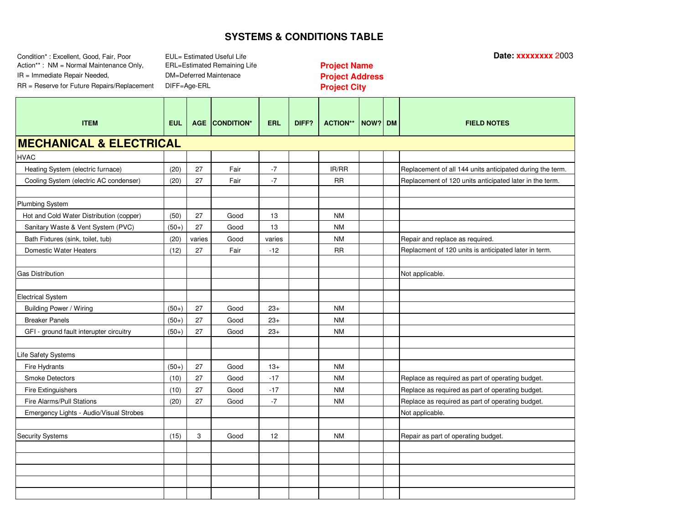Condition\* : Excellent, Good, Fair, Poor **Date: xxxxxxxx** 2003 Action\*\* : NMM = Normal Maintenance Only, **Profith Life Life Containing Life Project Name** IR <sup>=</sup> Immediate Repair Needed, **Project Address**

EUL= Estimated Useful Life DM=Deferred Maintenace DIFF=Age-ERL

| <b>ITEM</b>                              | <b>EUL</b> |        | <b>AGE CONDITION*</b> | <b>ERL</b> | DIFF? | <b>ACTION**</b> | NOW? DM |  | <b>FIELD NOTES</b>                                        |  |
|------------------------------------------|------------|--------|-----------------------|------------|-------|-----------------|---------|--|-----------------------------------------------------------|--|
| <b>MECHANICAL &amp; ELECTRICAL</b>       |            |        |                       |            |       |                 |         |  |                                                           |  |
| <b>HVAC</b>                              |            |        |                       |            |       |                 |         |  |                                                           |  |
| Heating System (electric furnace)        | (20)       | 27     | Fair                  | $-7$       |       | IR/RR           |         |  | Replacement of all 144 units anticipated during the term. |  |
| Cooling System (electric AC condenser)   | (20)       | 27     | Fair                  | $-7$       |       | <b>RR</b>       |         |  | Replacement of 120 units anticipated later in the term.   |  |
|                                          |            |        |                       |            |       |                 |         |  |                                                           |  |
| Plumbing System                          |            |        |                       |            |       |                 |         |  |                                                           |  |
| Hot and Cold Water Distribution (copper) | (50)       | 27     | Good                  | 13         |       | <b>NM</b>       |         |  |                                                           |  |
| Sanitary Waste & Vent System (PVC)       | $(50+)$    | 27     | Good                  | 13         |       | <b>NM</b>       |         |  |                                                           |  |
| Bath Fixtures (sink, toilet, tub)        | (20)       | varies | Good                  | varies     |       | <b>NM</b>       |         |  | Repair and replace as required.                           |  |
| Domestic Water Heaters                   | (12)       | 27     | Fair                  | $-12$      |       | <b>RR</b>       |         |  | Replacment of 120 units is anticipated later in term.     |  |
|                                          |            |        |                       |            |       |                 |         |  |                                                           |  |
| <b>Gas Distribution</b>                  |            |        |                       |            |       |                 |         |  | Not applicable.                                           |  |
|                                          |            |        |                       |            |       |                 |         |  |                                                           |  |
| <b>Electrical System</b>                 |            |        |                       |            |       |                 |         |  |                                                           |  |
| Building Power / Wiring                  | $(50+)$    | 27     | Good                  | $23+$      |       | <b>NM</b>       |         |  |                                                           |  |
| <b>Breaker Panels</b>                    | $(50+)$    | 27     | Good                  | $23+$      |       | <b>NM</b>       |         |  |                                                           |  |
| GFI - ground fault interupter circuitry  | $(50+)$    | 27     | Good                  | $23+$      |       | <b>NM</b>       |         |  |                                                           |  |
|                                          |            |        |                       |            |       |                 |         |  |                                                           |  |
| Life Safety Systems                      |            |        |                       |            |       |                 |         |  |                                                           |  |
| Fire Hydrants                            | $(50+)$    | 27     | Good                  | $13+$      |       | <b>NM</b>       |         |  |                                                           |  |
| <b>Smoke Detectors</b>                   | (10)       | 27     | Good                  | $-17$      |       | <b>NM</b>       |         |  | Replace as required as part of operating budget.          |  |
| Fire Extinguishers                       | (10)       | 27     | Good                  | $-17$      |       | <b>NM</b>       |         |  | Replace as required as part of operating budget.          |  |
| Fire Alarms/Pull Stations                | (20)       | 27     | Good                  | $-7$       |       | <b>NM</b>       |         |  | Replace as required as part of operating budget.          |  |
| Emergency Lights - Audio/Visual Strobes  |            |        |                       |            |       |                 |         |  | Not applicable.                                           |  |
|                                          |            |        |                       |            |       |                 |         |  |                                                           |  |
| <b>Security Systems</b>                  | (15)       | 3      | Good                  | 12         |       | <b>NM</b>       |         |  | Repair as part of operating budget.                       |  |
|                                          |            |        |                       |            |       |                 |         |  |                                                           |  |
|                                          |            |        |                       |            |       |                 |         |  |                                                           |  |
|                                          |            |        |                       |            |       |                 |         |  |                                                           |  |
|                                          |            |        |                       |            |       |                 |         |  |                                                           |  |
|                                          |            |        |                       |            |       |                 |         |  |                                                           |  |